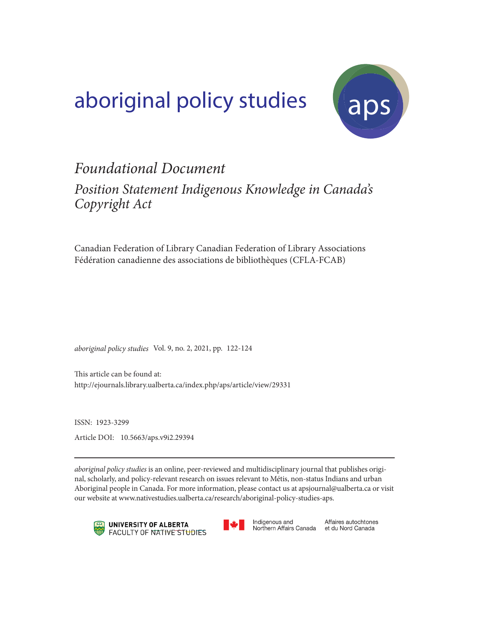# aboriginal policy studies (aps



# *Foundational Document Position Statement Indigenous Knowledge in Canada's Copyright Act*

Canadian Federation of Library Canadian Federation of Library Associations Fédération canadienne des associations de bibliothèques (CFLA-FCAB)

*aboriginal policy studies* Vol. 9, no. 2, 2021, pp. 122-124

This article can be found at: http://ejournals.library.ualberta.ca/index.php/aps/article/view/29331

ISSN: 1923-3299 Article DOI: 10.5663/aps.v9i2.29394

*aboriginal policy studies* is an online, peer-reviewed and multidisciplinary journal that publishes original, scholarly, and policy-relevant research on issues relevant to Métis, non-status Indians and urban Aboriginal people in Canada. For more information, please contact us at apsjournal@ualberta.ca or visit our website at www.nativestudies.ualberta.ca/research/aboriginal-policy-studies-aps.





Indigenous and Northern Affairs Canada

Affaires autochtones et du Nord Canada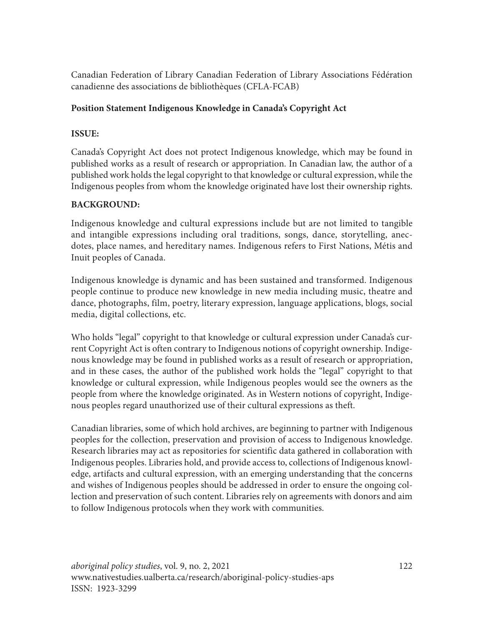Canadian Federation of Library Canadian Federation of Library Associations Fédération canadienne des associations de bibliothèques (CFLA-FCAB)

## **Position Statement Indigenous Knowledge in Canada's Copyright Act**

#### **ISSUE:**

Canada's Copyright Act does not protect Indigenous knowledge, which may be found in published works as a result of research or appropriation. In Canadian law, the author of a published work holds the legal copyright to that knowledge or cultural expression, while the Indigenous peoples from whom the knowledge originated have lost their ownership rights.

# **BACKGROUND:**

Indigenous knowledge and cultural expressions include but are not limited to tangible and intangible expressions including oral traditions, songs, dance, storytelling, anecdotes, place names, and hereditary names. Indigenous refers to First Nations, Métis and Inuit peoples of Canada.

Indigenous knowledge is dynamic and has been sustained and transformed. Indigenous people continue to produce new knowledge in new media including music, theatre and dance, photographs, film, poetry, literary expression, language applications, blogs, social media, digital collections, etc.

Who holds "legal" copyright to that knowledge or cultural expression under Canada's current Copyright Act is often contrary to Indigenous notions of copyright ownership. Indigenous knowledge may be found in published works as a result of research or appropriation, and in these cases, the author of the published work holds the "legal" copyright to that knowledge or cultural expression, while Indigenous peoples would see the owners as the people from where the knowledge originated. As in Western notions of copyright, Indigenous peoples regard unauthorized use of their cultural expressions as theft.

Canadian libraries, some of which hold archives, are beginning to partner with Indigenous peoples for the collection, preservation and provision of access to Indigenous knowledge. Research libraries may act as repositories for scientific data gathered in collaboration with Indigenous peoples. Libraries hold, and provide access to, collections of Indigenous knowledge, artifacts and cultural expression, with an emerging understanding that the concerns and wishes of Indigenous peoples should be addressed in order to ensure the ongoing collection and preservation of such content. Libraries rely on agreements with donors and aim to follow Indigenous protocols when they work with communities.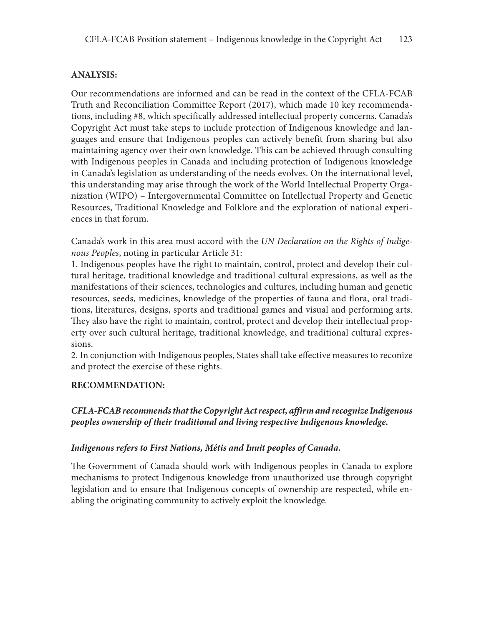#### **ANALYSIS:**

Our recommendations are informed and can be read in the context of the CFLA-FCAB Truth and Reconciliation Committee Report (2017), which made 10 key recommendations, including #8, which specifically addressed intellectual property concerns. Canada's Copyright Act must take steps to include protection of Indigenous knowledge and languages and ensure that Indigenous peoples can actively benefit from sharing but also maintaining agency over their own knowledge. This can be achieved through consulting with Indigenous peoples in Canada and including protection of Indigenous knowledge in Canada's legislation as understanding of the needs evolves. On the international level, this understanding may arise through the work of the World Intellectual Property Organization (WIPO) – Intergovernmental Committee on Intellectual Property and Genetic Resources, Traditional Knowledge and Folklore and the exploration of national experiences in that forum.

Canada's work in this area must accord with the *UN Declaration on the Rights of Indigenous Peoples*, noting in particular Article 31:

1. Indigenous peoples have the right to maintain, control, protect and develop their cultural heritage, traditional knowledge and traditional cultural expressions, as well as the manifestations of their sciences, technologies and cultures, including human and genetic resources, seeds, medicines, knowledge of the properties of fauna and flora, oral traditions, literatures, designs, sports and traditional games and visual and performing arts. They also have the right to maintain, control, protect and develop their intellectual property over such cultural heritage, traditional knowledge, and traditional cultural expressions.

2. In conjunction with Indigenous peoples, States shall take effective measures to reconize and protect the exercise of these rights.

#### **RECOMMENDATION:**

## *CFLA-FCAB recommends that the Copyright Act respect, affirm and recognize Indigenous peoples ownership of their traditional and living respective Indigenous knowledge.*

#### *Indigenous refers to First Nations, Métis and Inuit peoples of Canada.*

The Government of Canada should work with Indigenous peoples in Canada to explore mechanisms to protect Indigenous knowledge from unauthorized use through copyright legislation and to ensure that Indigenous concepts of ownership are respected, while enabling the originating community to actively exploit the knowledge.